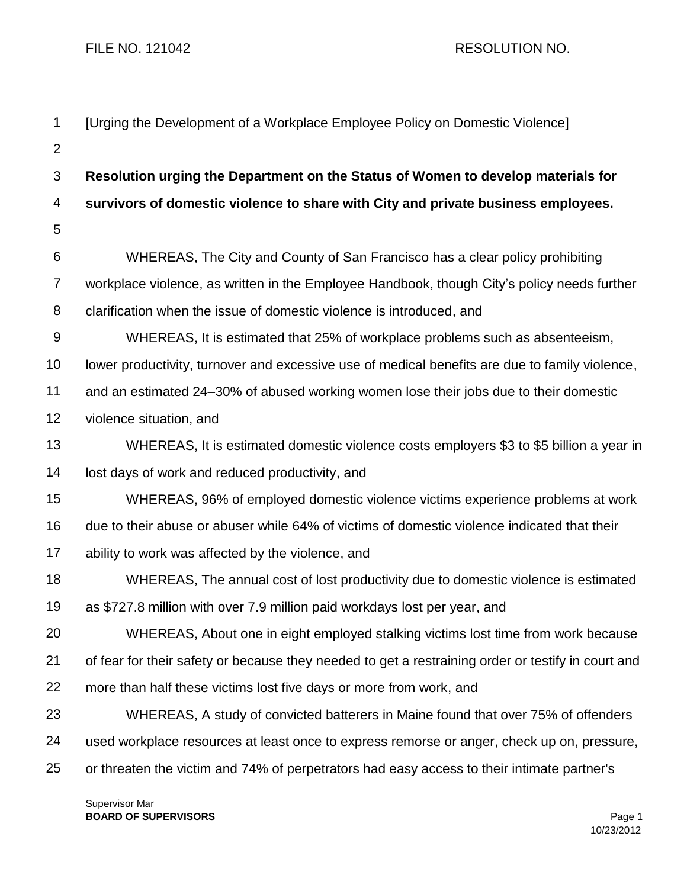FILE NO. 121042 RESOLUTION NO.

| $\mathbf 1$    | [Urging the Development of a Workplace Employee Policy on Domestic Violence]                       |
|----------------|----------------------------------------------------------------------------------------------------|
| $\overline{2}$ |                                                                                                    |
| 3              | Resolution urging the Department on the Status of Women to develop materials for                   |
| 4              | survivors of domestic violence to share with City and private business employees.                  |
| 5              |                                                                                                    |
| 6              | WHEREAS, The City and County of San Francisco has a clear policy prohibiting                       |
| $\overline{7}$ | workplace violence, as written in the Employee Handbook, though City's policy needs further        |
| 8              | clarification when the issue of domestic violence is introduced, and                               |
| $9\,$          | WHEREAS, It is estimated that 25% of workplace problems such as absenteeism,                       |
| 10             | lower productivity, turnover and excessive use of medical benefits are due to family violence,     |
| 11             | and an estimated 24–30% of abused working women lose their jobs due to their domestic              |
| 12             | violence situation, and                                                                            |
| 13             | WHEREAS, It is estimated domestic violence costs employers \$3 to \$5 billion a year in            |
| 14             | lost days of work and reduced productivity, and                                                    |
| 15             | WHEREAS, 96% of employed domestic violence victims experience problems at work                     |
| 16             | due to their abuse or abuser while 64% of victims of domestic violence indicated that their        |
| 17             | ability to work was affected by the violence, and                                                  |
| 18             | WHEREAS, The annual cost of lost productivity due to domestic violence is estimated                |
| 19             | as \$727.8 million with over 7.9 million paid workdays lost per year, and                          |
| 20             | WHEREAS, About one in eight employed stalking victims lost time from work because                  |
| 21             | of fear for their safety or because they needed to get a restraining order or testify in court and |
| 22             | more than half these victims lost five days or more from work, and                                 |
| 23             | WHEREAS, A study of convicted batterers in Maine found that over 75% of offenders                  |
| 24             | used workplace resources at least once to express remorse or anger, check up on, pressure,         |
| 25             | or threaten the victim and 74% of perpetrators had easy access to their intimate partner's         |
|                |                                                                                                    |